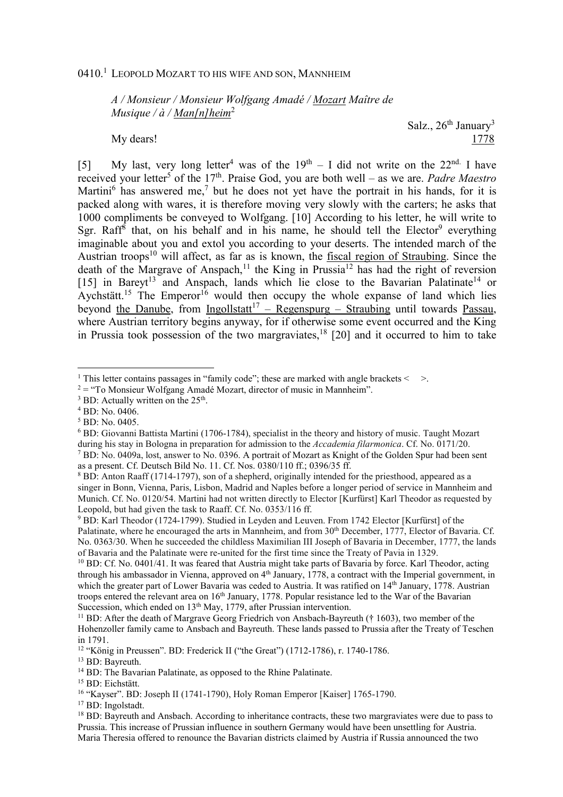## 0410.<sup>1</sup> Leopold Mozart to his wife and son, Mannheim

*A / Monsieur / Monsieur Wolfgang Amadé / Mozart Maître de Musique / à / Man[n]heim*<sup>2</sup>

Salz.,  $26<sup>th</sup> January<sup>3</sup>$ My dears! 1778

[5] My last, very long letter<sup>4</sup> was of the  $19<sup>th</sup> - I$  did not write on the  $22<sup>nd</sup>$ . I have received your letter<sup>5</sup> of the 17<sup>th</sup>. Praise God, you are both well – as we are. *Padre Maestro* Martini<sup>6</sup> has answered me,<sup>7</sup> but he does not yet have the portrait in his hands, for it is packed along with wares, it is therefore moving very slowly with the carters; he asks that 1000 compliments be conveyed to Wolfgang. [10] According to his letter, he will write to Sgr. Raff<sup>8</sup> that, on his behalf and in his name, he should tell the Elector<sup>9</sup> everything imaginable about you and extol you according to your deserts. The intended march of the Austrian troops<sup>10</sup> will affect, as far as is known, the fiscal region of Straubing. Since the death of the Margrave of Anspach,<sup>11</sup> the King in Prussia<sup>12</sup> has had the right of reversion [15] in Bareyt<sup>13</sup> and Anspach, lands which lie close to the Bavarian Palatinate<sup>14</sup> or Aychstätt.<sup>15</sup> The Emperor<sup>16</sup> would then occupy the whole expanse of land which lies beyond the Danube, from Ingollstatt<sup>17</sup> – Regenspurg – Straubing until towards Passau, where Austrian territory begins anyway, for if otherwise some event occurred and the King in Prussia took possession of the two margraviates,<sup>18</sup> [20] and it occurred to him to take

 $\overline{a}$ 

<sup>13</sup> BD: Bayreuth.

<sup>17</sup> BD: Ingolstadt.

<sup>&</sup>lt;sup>1</sup> This letter contains passages in "family code"; these are marked with angle brackets  $\leq$  >.

 $2 =$  "To Monsieur Wolfgang Amadé Mozart, director of music in Mannheim".

 $3$  BD: Actually written on the  $25<sup>th</sup>$ .

<sup>4</sup> BD: No. 0406.

<sup>5</sup> BD: No. 0405.

<sup>6</sup> BD: Giovanni Battista Martini (1706-1784), specialist in the theory and history of music. Taught Mozart during his stay in Bologna in preparation for admission to the *Accademia filarmonica*. Cf. No. 0171/20. <sup>7</sup> BD: No. 0409a, lost, answer to No. 0396. A portrait of Mozart as Knight of the Golden Spur had been sent

as a present. Cf. Deutsch Bild No. 11. Cf. Nos. 0380/110 ff.; 0396/35 ff.

<sup>&</sup>lt;sup>8</sup> BD: Anton Raaff (1714-1797), son of a shepherd, originally intended for the priesthood, appeared as a singer in Bonn, Vienna, Paris, Lisbon, Madrid and Naples before a longer period of service in Mannheim and Munich. Cf. No. 0120/54. Martini had not written directly to Elector [Kurfürst] Karl Theodor as requested by Leopold, but had given the task to Raaff. Cf. No. 0353/116 ff.

<sup>&</sup>lt;sup>9</sup> BD: Karl Theodor (1724-1799). Studied in Leyden and Leuven. From 1742 Elector [Kurfürst] of the Palatinate, where he encouraged the arts in Mannheim, and from 30<sup>th</sup> December, 1777, Elector of Bavaria. Cf. No. 0363/30. When he succeeded the childless Maximilian III Joseph of Bavaria in December, 1777, the lands of Bavaria and the Palatinate were re-united for the first time since the Treaty of Pavia in 1329.

<sup>&</sup>lt;sup>10</sup> BD: Cf. No. 0401/41. It was feared that Austria might take parts of Bavaria by force. Karl Theodor, acting through his ambassador in Vienna, approved on  $4<sup>th</sup>$  January, 1778, a contract with the Imperial government, in which the greater part of Lower Bavaria was ceded to Austria. It was ratified on 14<sup>th</sup> January, 1778. Austrian troops entered the relevant area on 16<sup>th</sup> January, 1778. Popular resistance led to the War of the Bavarian Succession, which ended on 13<sup>th</sup> May, 1779, after Prussian intervention.

<sup>&</sup>lt;sup>11</sup> BD: After the death of Margrave Georg Friedrich von Ansbach-Bayreuth († 1603), two member of the Hohenzoller family came to Ansbach and Bayreuth. These lands passed to Prussia after the Treaty of Teschen in 1791.

<sup>12</sup> "König in Preussen". BD: Frederick II ("the Great") (1712-1786), r. 1740-1786.

<sup>&</sup>lt;sup>14</sup> BD: The Bavarian Palatinate, as opposed to the Rhine Palatinate.

<sup>15</sup> BD: Eichstätt.

<sup>16</sup> "Kayser". BD: Joseph II (1741-1790), Holy Roman Emperor [Kaiser] 1765-1790.

<sup>&</sup>lt;sup>18</sup> BD: Bayreuth and Ansbach. According to inheritance contracts, these two margraviates were due to pass to Prussia. This increase of Prussian influence in southern Germany would have been unsettling for Austria. Maria Theresia offered to renounce the Bavarian districts claimed by Austria if Russia announced the two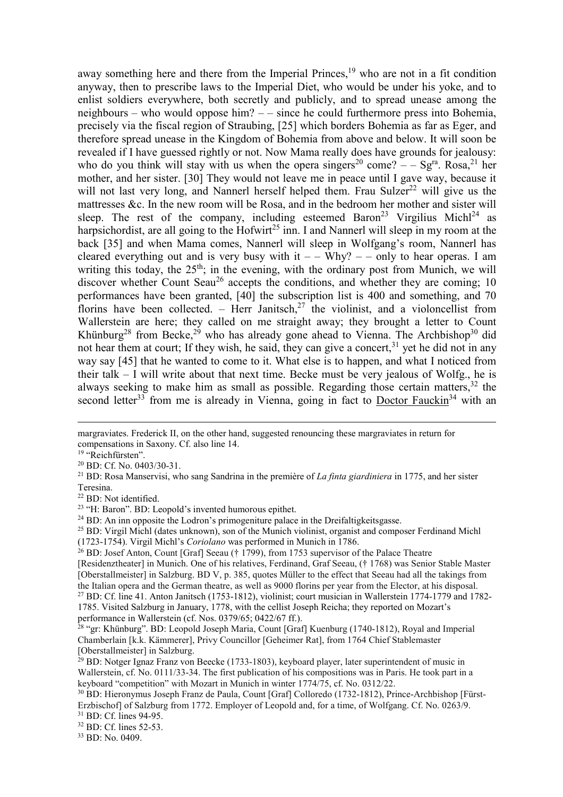away something here and there from the Imperial Princes,<sup>19</sup> who are not in a fit condition anyway, then to prescribe laws to the Imperial Diet, who would be under his yoke, and to enlist soldiers everywhere, both secretly and publicly, and to spread unease among the neighbours – who would oppose him? – – since he could furthermore press into Bohemia, precisely via the fiscal region of Straubing, [25] which borders Bohemia as far as Eger, and therefore spread unease in the Kingdom of Bohemia from above and below. It will soon be revealed if I have guessed rightly or not. Now Mama really does have grounds for jealousy: who do you think will stay with us when the opera singers<sup>20</sup> come?  $-$  – Sg<sup>ra</sup>. Rosa,<sup>21</sup> her mother, and her sister. [30] They would not leave me in peace until I gave way, because it will not last very long, and Nannerl herself helped them. Frau Sulzer<sup>22</sup> will give us the mattresses &c. In the new room will be Rosa, and in the bedroom her mother and sister will sleep. The rest of the company, including esteemed Baron<sup>23</sup> Virgilius Michl<sup>24</sup> as harpsichordist, are all going to the Hofwirt<sup>25</sup> inn. I and Nannerl will sleep in my room at the back [35] and when Mama comes, Nannerl will sleep in Wolfgang's room, Nannerl has cleared everything out and is very busy with it  $-$  – Why?  $-$  – only to hear operas. I am writing this today, the  $25<sup>th</sup>$ ; in the evening, with the ordinary post from Munich, we will discover whether Count Seau<sup>26</sup> accepts the conditions, and whether they are coming; 10 performances have been granted, [40] the subscription list is 400 and something, and 70 florins have been collected. – Herr Janitsch,<sup>27</sup> the violinist, and a violoncellist from Wallerstein are here; they called on me straight away; they brought a letter to Count Khünburg<sup>28</sup> from Becke,<sup>29</sup> who has already gone ahead to Vienna. The Archbishop<sup>30</sup> did not hear them at court; If they wish, he said, they can give a concert,  $3<sup>1</sup>$  yet he did not in any way say [45] that he wanted to come to it. What else is to happen, and what I noticed from their talk – I will write about that next time. Becke must be very jealous of Wolfg., he is always seeking to make him as small as possible. Regarding those certain matters,  $32$  the second letter<sup>33</sup> from me is already in Vienna, going in fact to Doctor Fauckin<sup>34</sup> with an

33 BD: No. 0409.

 $\overline{a}$ margraviates. Frederick II, on the other hand, suggested renouncing these margraviates in return for compensations in Saxony. Cf. also line 14.

<sup>&</sup>lt;sup>19</sup> "Reichfürsten".

<sup>20</sup> BD: Cf. No. 0403/30-31.

<sup>21</sup> BD: Rosa Manservisi, who sang Sandrina in the première of *La finta giardiniera* in 1775, and her sister Teresina.

<sup>22</sup> BD: Not identified.

<sup>23</sup> "H: Baron". BD: Leopold's invented humorous epithet.

<sup>&</sup>lt;sup>24</sup> BD: An inn opposite the Lodron's primogeniture palace in the Dreifaltigkeitsgasse.

<sup>&</sup>lt;sup>25</sup> BD: Virgil Michl (dates unknown), son of the Munich violinist, organist and composer Ferdinand Michl (1723-1754). Virgil Michl's *Coriolano* was performed in Munich in 1786.

<sup>&</sup>lt;sup>26</sup> BD: Josef Anton, Count [Graf] Seeau († 1799), from 1753 supervisor of the Palace Theatre [Residenztheater] in Munich. One of his relatives, Ferdinand, Graf Seeau, († 1768) was Senior Stable Master [Oberstallmeister] in Salzburg. BD V, p. 385, quotes Müller to the effect that Seeau had all the takings from the Italian opera and the German theatre, as well as 9000 florins per year from the Elector, at his disposal. <sup>27</sup> BD: Cf. line 41. Anton Janitsch (1753-1812), violinist; court musician in Wallerstein 1774-1779 and 1782- 1785. Visited Salzburg in January, 1778, with the cellist Joseph Reicha; they reported on Mozart's performance in Wallerstein (cf. Nos. 0379/65; 0422/67 ff.).

<sup>&</sup>lt;sup>28</sup> "gr: Khünburg". BD: Leopold Joseph Maria, Count [Graf] Kuenburg (1740-1812), Royal and Imperial Chamberlain [k.k. Kämmerer], Privy Councillor [Geheimer Rat], from 1764 Chief Stablemaster [Oberstallmeister] in Salzburg.

 $^{29}$  BD: Notger Ignaz Franz von Beecke (1733-1803), keyboard player, later superintendent of music in Wallerstein, cf. No. 0111/33-34. The first publication of his compositions was in Paris. He took part in a keyboard "competition" with Mozart in Munich in winter 1774/75, cf. No. 0312/22.

<sup>30</sup> BD: Hieronymus Joseph Franz de Paula, Count [Graf] Colloredo (1732-1812), Prince-Archbishop [Fürst-Erzbischof] of Salzburg from 1772. Employer of Leopold and, for a time, of Wolfgang. Cf. No. 0263/9.

<sup>31</sup> BD: Cf. lines 94-95.

<sup>32</sup> BD: Cf. lines 52-53.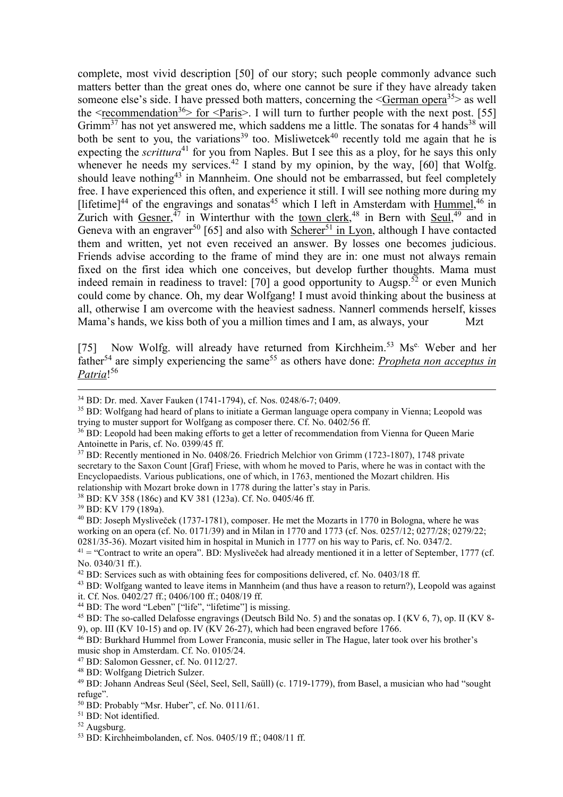complete, most vivid description [50] of our story; such people commonly advance such matters better than the great ones do, where one cannot be sure if they have already taken someone else's side. I have pressed both matters, concerning the  $\leq$ German opera<sup>35</sup> as well the  $\leq$  recommendation<sup>36</sup> for  $\leq$  Paris  $\geq$ . I will turn to further people with the next post. [55] Grimm<sup>37</sup> has not yet answered me, which saddens me a little. The sonatas for 4 hands<sup>38</sup> will both be sent to you, the variations<sup>39</sup> too. Misliwetcek<sup>40</sup> recently told me again that he is expecting the *scrittura*<sup>41</sup> for you from Naples. But I see this as a ploy, for he says this only whenever he needs my services.<sup>42</sup> I stand by my opinion, by the way, [60] that Wolfg. should leave nothing<sup>43</sup> in Mannheim. One should not be embarrassed, but feel completely free. I have experienced this often, and experience it still. I will see nothing more during my [lifetime]<sup>44</sup> of the engravings and sonatas<sup>45</sup> which I left in Amsterdam with Hummel,<sup>46</sup> in Zurich with  $Gesner,$ <sup>47</sup> in Winterthur with the <u>town clerk</u>,<sup>48</sup> in Bern with  $Seu!$ ,<sup>49</sup> and in Geneva with an engraver<sup>50</sup> [65] and also with Scherer<sup>51</sup> in Lyon, although I have contacted them and written, yet not even received an answer. By losses one becomes judicious. Friends advise according to the frame of mind they are in: one must not always remain fixed on the first idea which one conceives, but develop further thoughts. Mama must indeed remain in readiness to travel: [70] a good opportunity to Augsp.<sup>52</sup> or even Munich could come by chance. Oh, my dear Wolfgang! I must avoid thinking about the business at all, otherwise I am overcome with the heaviest sadness. Nannerl commends herself, kisses Mama's hands, we kiss both of you a million times and I am, as always, your Mzt

[75] Now Wolfg. will already have returned from Kirchheim.<sup>53</sup> Ms<sup>e.</sup> Weber and her father<sup>54</sup> are simply experiencing the same<sup>55</sup> as others have done: *Propheta non acceptus in Patria*! 56

<sup>38</sup> BD: KV 358 (186c) and KV 381 (123a). Cf. No. 0405/46 ff.

<sup>39</sup> BD: KV 179 (189a).

 $\overline{a}$ 

<sup>34</sup> BD: Dr. med. Xaver Fauken (1741-1794), cf. Nos. 0248/6-7; 0409.

<sup>35</sup> BD: Wolfgang had heard of plans to initiate a German language opera company in Vienna; Leopold was trying to muster support for Wolfgang as composer there. Cf. No. 0402/56 ff.

<sup>&</sup>lt;sup>36</sup> BD: Leopold had been making efforts to get a letter of recommendation from Vienna for Queen Marie Antoinette in Paris, cf. No. 0399/45 ff.

<sup>37</sup> BD: Recently mentioned in No. 0408/26. Friedrich Melchior von Grimm (1723-1807), 1748 private secretary to the Saxon Count [Graf] Friese, with whom he moved to Paris, where he was in contact with the Encyclopaedists. Various publications, one of which, in 1763, mentioned the Mozart children. His relationship with Mozart broke down in 1778 during the latter's stay in Paris.

<sup>40</sup> BD: Joseph Mysliveček (1737-1781), composer. He met the Mozarts in 1770 in Bologna, where he was working on an opera (cf. No. 0171/39) and in Milan in 1770 and 1773 (cf. Nos. 0257/12; 0277/28; 0279/22; 0281/35-36). Mozart visited him in hospital in Munich in 1777 on his way to Paris, cf. No. 0347/2.

 $41 =$  "Contract to write an opera". BD: Mysliveček had already mentioned it in a letter of September, 1777 (cf. No. 0340/31 ff.).

<sup>42</sup> BD: Services such as with obtaining fees for compositions delivered, cf. No. 0403/18 ff.

<sup>&</sup>lt;sup>43</sup> BD: Wolfgang wanted to leave items in Mannheim (and thus have a reason to return?), Leopold was against it. Cf. Nos. 0402/27 ff.; 0406/100 ff.; 0408/19 ff.

<sup>44</sup> BD: The word "Leben" ["life", "lifetime"] is missing.

<sup>&</sup>lt;sup>45</sup> BD: The so-called Delafosse engravings (Deutsch Bild No. 5) and the sonatas op. I (KV 6, 7), op. II (KV 8-9), op. III (KV 10-15) and op. IV (KV 26-27), which had been engraved before 1766.

<sup>46</sup> BD: Burkhard Hummel from Lower Franconia, music seller in The Hague, later took over his brother's music shop in Amsterdam. Cf. No. 0105/24.

<sup>47</sup> BD: Salomon Gessner, cf. No. 0112/27.

<sup>48</sup> BD: Wolfgang Dietrich Sulzer.

<sup>49</sup> BD: Johann Andreas Seul (Séel, Seel, Sell, Saüll) (c. 1719-1779), from Basel, a musician who had "sought refuge".

<sup>50</sup> BD: Probably "Msr. Huber", cf. No. 0111/61.

<sup>51</sup> BD: Not identified.

<sup>52</sup> Augsburg.

<sup>53</sup> BD: Kirchheimbolanden, cf. Nos. 0405/19 ff.; 0408/11 ff.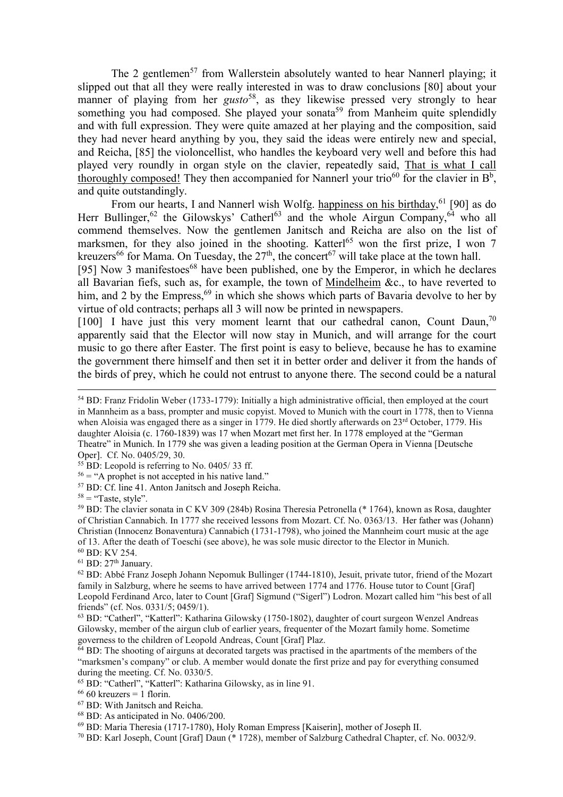The 2 gentlemen<sup>57</sup> from Wallerstein absolutely wanted to hear Nannerl playing; it slipped out that all they were really interested in was to draw conclusions [80] about your manner of playing from her *gusto*<sup>58</sup>, as they likewise pressed very strongly to hear something you had composed. She played your sonata<sup>59</sup> from Manheim quite splendidly and with full expression. They were quite amazed at her playing and the composition, said they had never heard anything by you, they said the ideas were entirely new and special, and Reicha, [85] the violoncellist, who handles the keyboard very well and before this had played very roundly in organ style on the clavier, repeatedly said, That is what I call thoroughly composed! They then accompanied for Nannerl your trio<sup>60</sup> for the clavier in  $B^b$ , and quite outstandingly.

From our hearts, I and Nannerl wish Wolfg. happiness on his birthday, <sup>61</sup> [90] as do Herr Bullinger,<sup>62</sup> the Gilowskys' Catherl<sup>63</sup> and the whole Airgun Company,<sup>64</sup> who all commend themselves. Now the gentlemen Janitsch and Reicha are also on the list of marksmen, for they also joined in the shooting. Katterl<sup>65</sup> won the first prize, I won 7 kreuzers<sup>66</sup> for Mama. On Tuesday, the  $27<sup>th</sup>$ , the concert<sup>67</sup> will take place at the town hall.

[95] Now 3 manifestoes<sup>68</sup> have been published, one by the Emperor, in which he declares all Bavarian fiefs, such as, for example, the town of Mindelheim &c., to have reverted to him, and 2 by the Empress,  $69$  in which she shows which parts of Bavaria devolve to her by virtue of old contracts; perhaps all 3 will now be printed in newspapers.

[100] I have just this very moment learnt that our cathedral canon, Count Daun,<sup>70</sup> apparently said that the Elector will now stay in Munich, and will arrange for the court music to go there after Easter. The first point is easy to believe, because he has to examine the government there himself and then set it in better order and deliver it from the hands of the birds of prey, which he could not entrust to anyone there. The second could be a natural

 $\overline{a}$ 

<sup>59</sup> BD: The clavier sonata in C KV 309 (284b) Rosina Theresia Petronella (\* 1764), known as Rosa, daughter of Christian Cannabich. In 1777 she received lessons from Mozart. Cf. No. 0363/13. Her father was (Johann) Christian (Innocenz Bonaventura) Cannabich (1731-1798), who joined the Mannheim court music at the age of 13. After the death of Toeschi (see above), he was sole music director to the Elector in Munich.

<sup>60</sup> BD: KV 254.

 $^{61}$  BD:  $27^{\rm th}$  January.

<sup>68</sup> BD: As anticipated in No. 0406/200.

70 BD: Karl Joseph, Count [Graf] Daun (\* 1728), member of Salzburg Cathedral Chapter, cf. No. 0032/9.

<sup>54</sup> BD: Franz Fridolin Weber (1733-1779): Initially a high administrative official, then employed at the court in Mannheim as a bass, prompter and music copyist. Moved to Munich with the court in 1778, then to Vienna when Aloisia was engaged there as a singer in 1779. He died shortly afterwards on 23<sup>rd</sup> October, 1779. His daughter Aloisia (c. 1760-1839) was 17 when Mozart met first her. In 1778 employed at the "German Theatre" in Munich. In 1779 she was given a leading position at the German Opera in Vienna [Deutsche Oper]. Cf. No. 0405/29, 30.

 $55$  BD: Leopold is referring to No. 0405/33 ff.

 $56 =$  "A prophet is not accepted in his native land."

<sup>57</sup> BD: Cf. line 41. Anton Janitsch and Joseph Reicha.

 $58 =$  "Taste, style".

<sup>62</sup> BD: Abbé Franz Joseph Johann Nepomuk Bullinger (1744-1810), Jesuit, private tutor, friend of the Mozart family in Salzburg, where he seems to have arrived between 1774 and 1776. House tutor to Count [Graf] Leopold Ferdinand Arco, later to Count [Graf] Sigmund ("Sigerl") Lodron. Mozart called him "his best of all friends" (cf. Nos. 0331/5; 0459/1).

<sup>63</sup> BD: "Catherl", "Katterl": Katharina Gilowsky (1750-1802), daughter of court surgeon Wenzel Andreas Gilowsky, member of the airgun club of earlier years, frequenter of the Mozart family home. Sometime governess to the children of Leopold Andreas, Count [Graf] Plaz.

 $64$  BD: The shooting of airguns at decorated targets was practised in the apartments of the members of the "marksmen's company" or club. A member would donate the first prize and pay for everything consumed during the meeting. Cf. No. 0330/5.

<sup>65</sup> BD: "Catherl", "Katterl": Katharina Gilowsky, as in line 91.

 $66660$  kreuzers = 1 florin.

<sup>67</sup> BD: With Janitsch and Reicha.

<sup>69</sup> BD: Maria Theresia (1717-1780), Holy Roman Empress [Kaiserin], mother of Joseph II.